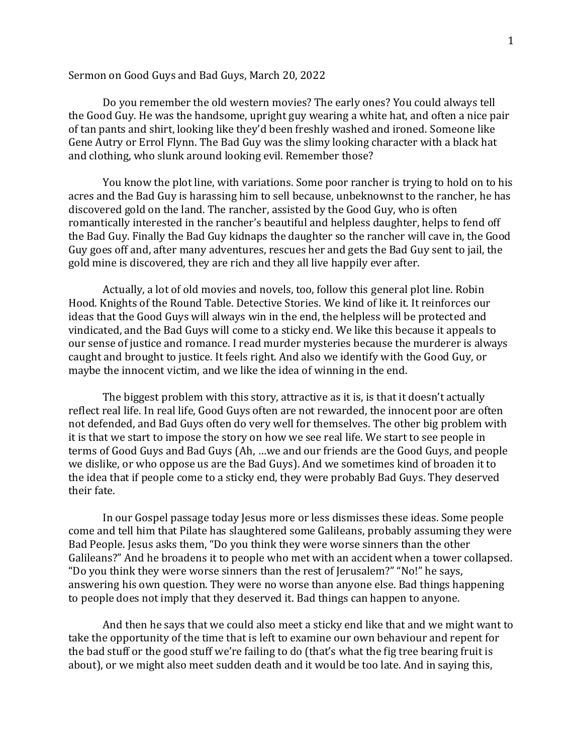## Sermon on Good Guys and Bad Guys, March 20, 2022

Do you remember the old western movies? The early ones? You could always tell the Good Guy. He was the handsome, upright guy wearing a white hat, and often a nice pair of tan pants and shirt, looking like they'd been freshly washed and ironed. Someone like Gene Autry or Errol Flynn. The Bad Guy was the slimy looking character with a black hat and clothing, who slunk around looking evil. Remember those?

You know the plot line, with variations. Some poor rancher is trying to hold on to his acres and the Bad Guy is harassing him to sell because, unbeknownst to the rancher, he has discovered gold on the land. The rancher, assisted by the Good Guy, who is often romantically interested in the rancher's beautiful and helpless daughter, helps to fend off the Bad Guy. Finally the Bad Guy kidnaps the daughter so the rancher will cave in, the Good Guy goes off and, after many adventures, rescues her and gets the Bad Guy sent to jail, the gold mine is discovered, they are rich and they all live happily ever after.

Actually, a lot of old movies and novels, too, follow this general plot line. Robin Hood. Knights of the Round Table. Detective Stories. We kind of like it. It reinforces our ideas that the Good Guys will always win in the end, the helpless will be protected and vindicated, and the Bad Guys will come to a sticky end. We like this because it appeals to our sense of justice and romance. I read murder mysteries because the murderer is always caught and brought to justice. It feels right. And also we identify with the Good Guy, or maybe the innocent victim, and we like the idea of winning in the end.

The biggest problem with this story, attractive as it is, is that it doesn't actually reflect real life. In real life, Good Guys often are not rewarded, the innocent poor are often not defended, and Bad Guys often do very well for themselves. The other big problem with it is that we start to impose the story on how we see real life. We start to see people in terms of Good Guys and Bad Guys (Ah, …we and our friends are the Good Guys, and people we dislike, or who oppose us are the Bad Guys). And we sometimes kind of broaden it to the idea that if people come to a sticky end, they were probably Bad Guys. They deserved their fate.

In our Gospel passage today Jesus more or less dismisses these ideas. Some people come and tell him that Pilate has slaughtered some Galileans, probably assuming they were Bad People. Jesus asks them, "Do you think they were worse sinners than the other Galileans?" And he broadens it to people who met with an accident when a tower collapsed. "Do you think they were worse sinners than the rest of Jerusalem?" "No!" he says, answering his own question. They were no worse than anyone else. Bad things happening to people does not imply that they deserved it. Bad things can happen to anyone.

And then he says that we could also meet a sticky end like that and we might want to take the opportunity of the time that is left to examine our own behaviour and repent for the bad stuff or the good stuff we're failing to do (that's what the fig tree bearing fruit is about), or we might also meet sudden death and it would be too late. And in saying this,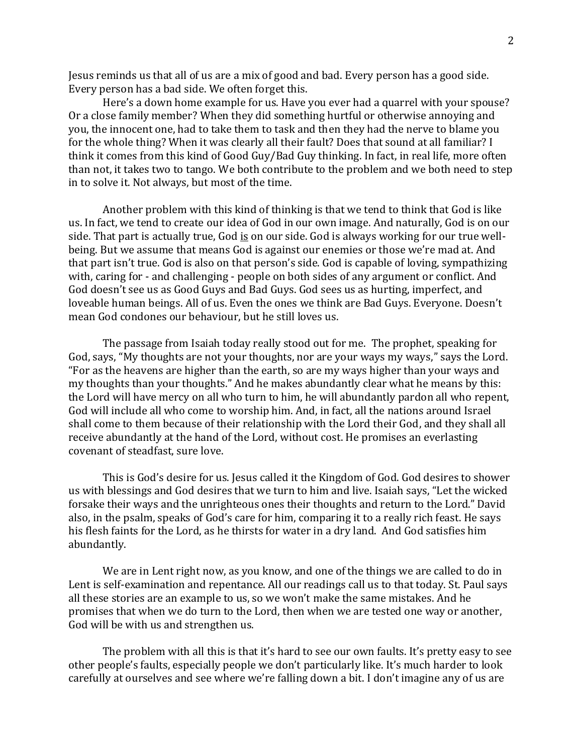Jesus reminds us that all of us are a mix of good and bad. Every person has a good side. Every person has a bad side. We often forget this.

Here's a down home example for us. Have you ever had a quarrel with your spouse? Or a close family member? When they did something hurtful or otherwise annoying and you, the innocent one, had to take them to task and then they had the nerve to blame you for the whole thing? When it was clearly all their fault? Does that sound at all familiar? I think it comes from this kind of Good Guy/Bad Guy thinking. In fact, in real life, more often than not, it takes two to tango. We both contribute to the problem and we both need to step in to solve it. Not always, but most of the time.

Another problem with this kind of thinking is that we tend to think that God is like us. In fact, we tend to create our idea of God in our own image. And naturally, God is on our side. That part is actually true, God is on our side. God is always working for our true wellbeing. But we assume that means God is against our enemies or those we're mad at. And that part isn't true. God is also on that person's side. God is capable of loving, sympathizing with, caring for - and challenging - people on both sides of any argument or conflict. And God doesn't see us as Good Guys and Bad Guys. God sees us as hurting, imperfect, and loveable human beings. All of us. Even the ones we think are Bad Guys. Everyone. Doesn't mean God condones our behaviour, but he still loves us.

The passage from Isaiah today really stood out for me. The prophet, speaking for God, says, "My thoughts are not your thoughts, nor are your ways my ways," says the Lord. "For as the heavens are higher than the earth, so are my ways higher than your ways and my thoughts than your thoughts." And he makes abundantly clear what he means by this: the Lord will have mercy on all who turn to him, he will abundantly pardon all who repent, God will include all who come to worship him. And, in fact, all the nations around Israel shall come to them because of their relationship with the Lord their God, and they shall all receive abundantly at the hand of the Lord, without cost. He promises an everlasting covenant of steadfast, sure love.

This is God's desire for us. Jesus called it the Kingdom of God. God desires to shower us with blessings and God desires that we turn to him and live. Isaiah says, "Let the wicked forsake their ways and the unrighteous ones their thoughts and return to the Lord." David also, in the psalm, speaks of God's care for him, comparing it to a really rich feast. He says his flesh faints for the Lord, as he thirsts for water in a dry land. And God satisfies him abundantly.

We are in Lent right now, as you know, and one of the things we are called to do in Lent is self-examination and repentance. All our readings call us to that today. St. Paul says all these stories are an example to us, so we won't make the same mistakes. And he promises that when we do turn to the Lord, then when we are tested one way or another, God will be with us and strengthen us.

The problem with all this is that it's hard to see our own faults. It's pretty easy to see other people's faults, especially people we don't particularly like. It's much harder to look carefully at ourselves and see where we're falling down a bit. I don't imagine any of us are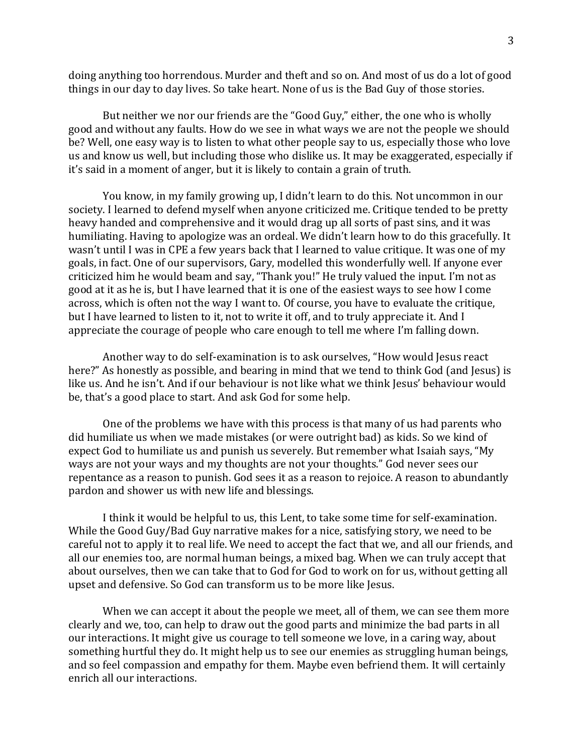doing anything too horrendous. Murder and theft and so on. And most of us do a lot of good things in our day to day lives. So take heart. None of us is the Bad Guy of those stories.

But neither we nor our friends are the "Good Guy," either, the one who is wholly good and without any faults. How do we see in what ways we are not the people we should be? Well, one easy way is to listen to what other people say to us, especially those who love us and know us well, but including those who dislike us. It may be exaggerated, especially if it's said in a moment of anger, but it is likely to contain a grain of truth.

You know, in my family growing up, I didn't learn to do this. Not uncommon in our society. I learned to defend myself when anyone criticized me. Critique tended to be pretty heavy handed and comprehensive and it would drag up all sorts of past sins, and it was humiliating. Having to apologize was an ordeal. We didn't learn how to do this gracefully. It wasn't until I was in CPE a few years back that I learned to value critique. It was one of my goals, in fact. One of our supervisors, Gary, modelled this wonderfully well. If anyone ever criticized him he would beam and say, "Thank you!" He truly valued the input. I'm not as good at it as he is, but I have learned that it is one of the easiest ways to see how I come across, which is often not the way I want to. Of course, you have to evaluate the critique, but I have learned to listen to it, not to write it off, and to truly appreciate it. And I appreciate the courage of people who care enough to tell me where I'm falling down.

Another way to do self-examination is to ask ourselves, "How would Jesus react here?" As honestly as possible, and bearing in mind that we tend to think God (and Jesus) is like us. And he isn't. And if our behaviour is not like what we think Jesus' behaviour would be, that's a good place to start. And ask God for some help.

One of the problems we have with this process is that many of us had parents who did humiliate us when we made mistakes (or were outright bad) as kids. So we kind of expect God to humiliate us and punish us severely. But remember what Isaiah says, "My ways are not your ways and my thoughts are not your thoughts." God never sees our repentance as a reason to punish. God sees it as a reason to rejoice. A reason to abundantly pardon and shower us with new life and blessings.

I think it would be helpful to us, this Lent, to take some time for self-examination. While the Good Guy/Bad Guy narrative makes for a nice, satisfying story, we need to be careful not to apply it to real life. We need to accept the fact that we, and all our friends, and all our enemies too, are normal human beings, a mixed bag. When we can truly accept that about ourselves, then we can take that to God for God to work on for us, without getting all upset and defensive. So God can transform us to be more like Jesus.

When we can accept it about the people we meet, all of them, we can see them more clearly and we, too, can help to draw out the good parts and minimize the bad parts in all our interactions. It might give us courage to tell someone we love, in a caring way, about something hurtful they do. It might help us to see our enemies as struggling human beings, and so feel compassion and empathy for them. Maybe even befriend them. It will certainly enrich all our interactions.